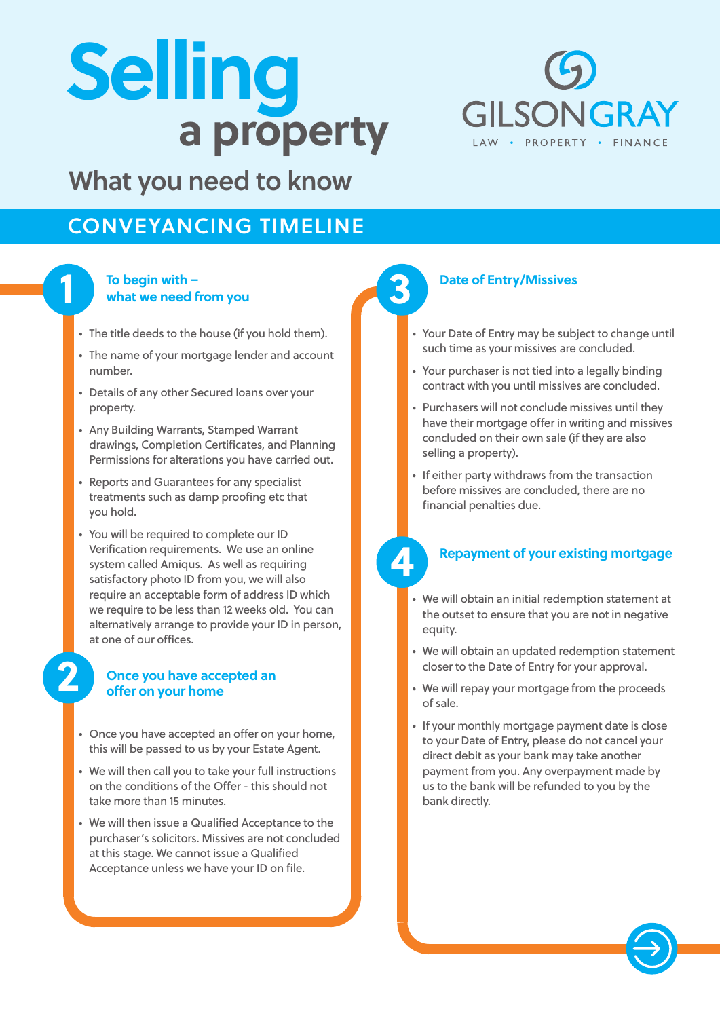# **a property Selling**



## What you need to know

## CONVEYANCING TIMELINE

#### **To begin with – what we need from you**

**1**

**2**

- The title deeds to the house (if you hold them).
- The name of your mortgage lender and account number.
- Details of any other Secured loans over your property.
- Any Building Warrants, Stamped Warrant drawings, Completion Certificates, and Planning Permissions for alterations you have carried out.
- Reports and Guarantees for any specialist treatments such as damp proofing etc that you hold.
- You will be required to complete our ID Verification requirements. We use an online system called Amiqus. As well as requiring satisfactory photo ID from you, we will also require an acceptable form of address ID which we require to be less than 12 weeks old. You can alternatively arrange to provide your ID in person, at one of our offices.

#### **Once you have accepted an offer on your home**

- Once you have accepted an offer on your home, this will be passed to us by your Estate Agent.
- We will then call you to take your full instructions on the conditions of the Offer - this should not take more than 15 minutes.
- We will then issue a Qualified Acceptance to the purchaser's solicitors. Missives are not concluded at this stage. We cannot issue a Qualified Acceptance unless we have your ID on file.

## **3**

#### **Date of Entry/Missives**

- Your Date of Entry may be subject to change until such time as your missives are concluded.
- Your purchaser is not tied into a legally binding contract with you until missives are concluded.
- Purchasers will not conclude missives until they have their mortgage offer in writing and missives concluded on their own sale (if they are also selling a property).
- If either party withdraws from the transaction before missives are concluded, there are no financial penalties due.

## **4**

#### **Repayment of your existing mortgage**

- We will obtain an initial redemption statement at the outset to ensure that you are not in negative equity.
- We will obtain an updated redemption statement closer to the Date of Entry for your approval.
- We will repay your mortgage from the proceeds of sale.
- If your monthly mortgage payment date is close to your Date of Entry, please do not cancel your direct debit as your bank may take another payment from you. Any overpayment made by us to the bank will be refunded to you by the bank directly.